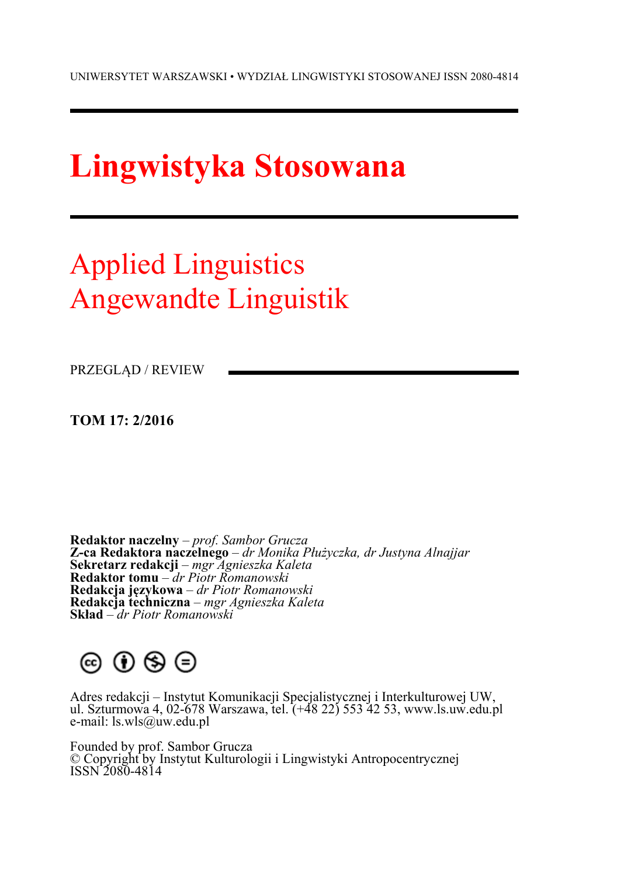# **Lingwistyka Stosowana**

## Applied Linguistics Angewandte Linguistik

PRZEGLĄD / REVIEW

**TOM 17: 2/2016** 

**Redaktor naczelny** – *prof. Sambor Grucza*  **Z-ca Redaktora naczelnego** – *dr Monika Płużyczka, dr Justyna Alnajjar*  **Sekretarz redakcji** – *mgr Agnieszka Kaleta*  **Redaktor tomu** – *dr Piotr Romanowski* **Redakcja językowa** – *dr Piotr Romanowski*  **Redakcja techniczna** – *mgr Agnieszka Kaleta* **Skład** – *dr Piotr Romanowski*

## 

Adres redakcji – Instytut Komunikacji Specjalistycznej i Interkulturowej UW, ul. Szturmowa 4, 02-678 Warszawa, tel. (+48 22) 553 42 53, www.ls.uw.edu.pl e-mail: ls.wls@uw.edu.pl

Founded by prof. Sambor Grucza © Copyright by Instytut Kulturologii i Lingwistyki Antropocentrycznej ISSN 2080-4814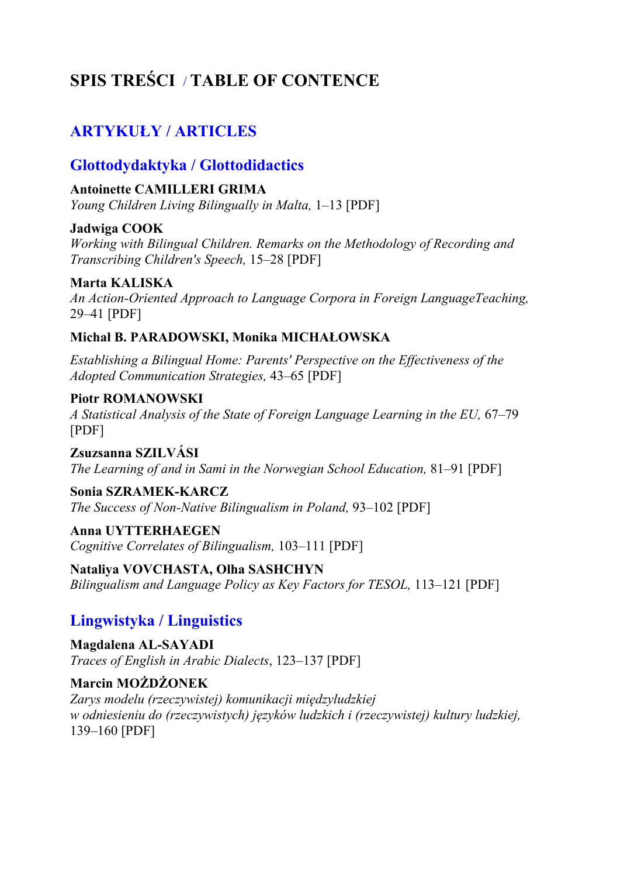## **SPIS TREŚCI** / **TABLE OF CONTENCE**

## **ARTYKUŁY / ARTICLES**

### **Glottodydaktyka / Glottodidactics**

#### **Antoinette CAMILLERI GRIMA**

*Young Children Living Bilingually in Malta,* 1–13 [PDF]

#### **Jadwiga COOK**

*Working with Bilingual Children. Remarks on the Methodology of Recording and Transcribing Children's Speech,* 15–28 [PDF]

#### **Marta KALISKA**

*An Action-Oriented Approach to Language Corpora in Foreign LanguageTeaching,*  29–41 [PDF]

#### **Michał B. PARADOWSKI, Monika MICHAŁOWSKA**

*Establishing a Bilingual Home: Parents' Perspective on the Effectiveness of the Adopted Communication Strategies,* 43–65 [PDF]

#### **Piotr ROMANOWSKI**  *A Statistical Analysis of the State of Foreign Language Learning in the EU,* 67–79 [PDF]

**Zsuzsanna SZILVÁSI**  *The Learning of and in Sami in the Norwegian School Education,* 81–91 [PDF]

#### **Sonia SZRAMEK-KARCZ**

*The Success of Non-Native Bilingualism in Poland,* 93–102 [PDF]

#### **Anna UYTTERHAEGEN** *Cognitive Correlates of Bilingualism,* 103–111 [PDF]

**Nataliya VOVCHASTA, Olha SASHCHYN**  *Bilingualism and Language Policy as Key Factors for TESOL,* 113–121 [PDF]

## **Lingwistyka / Linguistics**

**Magdalena AL-SAYADI**  *Traces of English in Arabic Dialects*, 123–137 [PDF]

#### **Marcin MOŻDŻONEK**

*Zarys modelu (rzeczywistej) komunikacji międzyludzkiej w odniesieniu do (rzeczywistych) języków ludzkich i (rzeczywistej) kultury ludzkiej,*  139–160 [PDF]